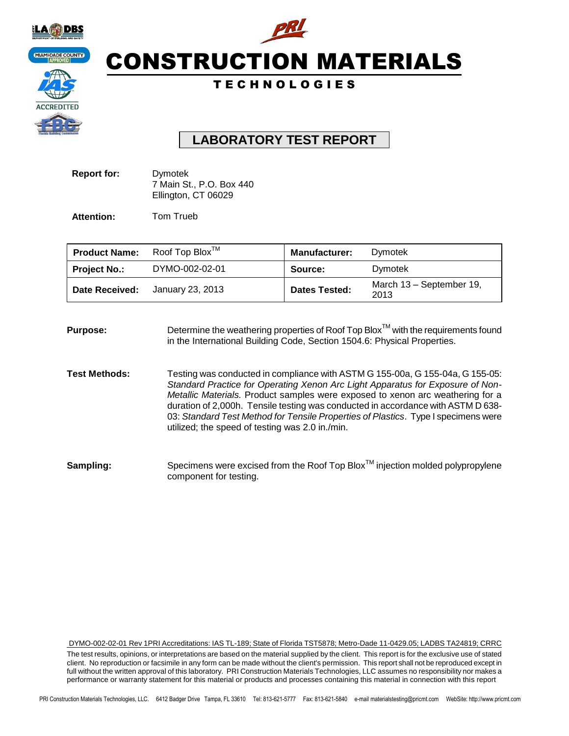

# CONSTRUCTION MATERIALS

### T E C H N O L O G I E S

## **LABORATORY TEST REPORT**

| <b>Report for:</b> | Dymotek                  |
|--------------------|--------------------------|
|                    | 7 Main St., P.O. Box 440 |
|                    | Ellington, CT 06029      |

Attention: Tom Trueb

| <b>Product Name:</b> | Roof Top Blox <sup>TM</sup> | <b>Manufacturer:</b> | Dymotek                          |
|----------------------|-----------------------------|----------------------|----------------------------------|
| <b>Project No.:</b>  | DYMO-002-02-01              | Source:              | <b>Dymotek</b>                   |
| Date Received:       | January 23, 2013            | <b>Dates Tested:</b> | March 13 - September 19,<br>2013 |

**Purpose:** Determine the weathering properties of Roof Top Blox<sup>™</sup> with the requirements found in the International Building Code, Section 1504.6: Physical Properties.

**Test Methods:** Testing was conducted in compliance with ASTM G 155-00a, G 155-04a, G 155-05: *Standard Practice for Operating Xenon Arc Light Apparatus for Exposure of Non-Metallic Materials.* Product samples were exposed to xenon arc weathering for a duration of 2,000h. Tensile testing was conducted in accordance with ASTM D 638- 03: *Standard Test Method for Tensile Properties of Plastics*. Type I specimens were utilized; the speed of testing was 2.0 in./min.

Sampling: Specimens were excised from the Roof Top Blox<sup>™</sup> injection molded polypropylene component for testing.

DYMO-002-02-01 Rev 1PRI Accreditations: IAS TL-189; State of Florida TST5878; Metro-Dade 11-0429.05; LADBS TA24819; CRRC

The test results, opinions, or interpretations are based on the material supplied by the client. This report is for the exclusive use of stated client. No reproduction or facsimile in any form can be made without the client's permission. This report shall not be reproduced except in full without the written approval of this laboratory. PRI Construction Materials Technologies, LLC assumes no responsibility nor makes a performance or warranty statement for this material or products and processes containing this material in connection with this report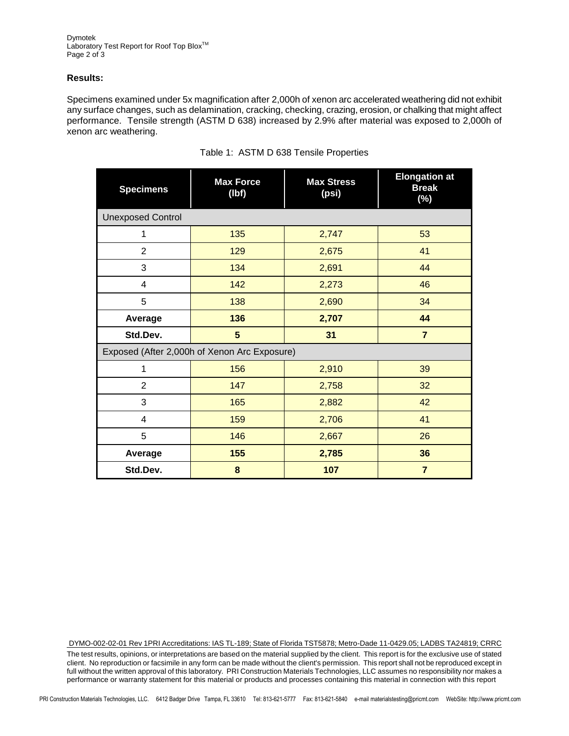Dymotek Laboratory Test Report for Roof Top Blox<sup>™</sup> Page 2 of 3

#### **Results:**

Specimens examined under 5x magnification after 2,000h of xenon arc accelerated weathering did not exhibit any surface changes, such as delamination, cracking, checking, crazing, erosion, or chalking that might affect performance. Tensile strength (ASTM D 638) increased by 2.9% after material was exposed to 2,000h of xenon arc weathering.

| <b>Specimens</b>                             | <b>Max Force</b><br>(lbf) | <b>Max Stress</b><br>(psi) | <b>Elongation at</b><br><b>Break</b><br>$(\%)$ |  |
|----------------------------------------------|---------------------------|----------------------------|------------------------------------------------|--|
| <b>Unexposed Control</b>                     |                           |                            |                                                |  |
| 1                                            | 135                       |                            | 53                                             |  |
| $\overline{2}$                               | 129                       | 2,675                      | 41                                             |  |
| 3                                            | 134                       | 2,691                      | 44                                             |  |
| 4                                            | 142                       | 2,273                      | 46                                             |  |
| 5                                            | 138                       | 2,690                      | 34                                             |  |
| Average                                      | 136<br>2,707              |                            | 44                                             |  |
| Std.Dev.                                     | 5                         | 31                         | $\overline{7}$                                 |  |
| Exposed (After 2,000h of Xenon Arc Exposure) |                           |                            |                                                |  |
| 1                                            | 156                       | 2,910                      | 39                                             |  |
| $\overline{2}$                               | 147                       | 2,758                      | 32                                             |  |
| 3                                            | 165                       | 2,882                      | 42                                             |  |
| 4                                            | 159                       | 2,706                      | 41                                             |  |
| 5                                            | 146                       | 2,667                      | 26                                             |  |
| Average                                      | 155                       | 2,785                      | 36                                             |  |
| Std.Dev.                                     | 8                         | 107                        | $\overline{7}$                                 |  |

#### Table 1: ASTM D 638 Tensile Properties

DYMO-002-02-01 Rev 1PRI Accreditations: IAS TL-189; State of Florida TST5878; Metro-Dade 11-0429.05; LADBS TA24819; CRRC

The test results, opinions, or interpretations are based on the material supplied by the client. This report is for the exclusive use of stated client. No reproduction or facsimile in any form can be made without the client's permission. This report shall not be reproduced except in full without the written approval of this laboratory. PRI Construction Materials Technologies, LLC assumes no responsibility nor makes a performance or warranty statement for this material or products and processes containing this material in connection with this report